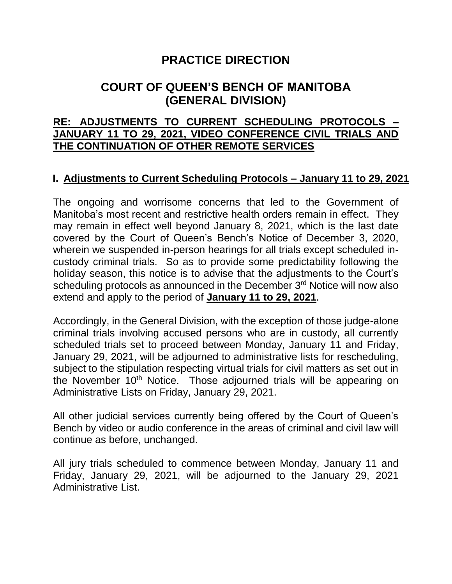# **PRACTICE DIRECTION**

# **COURT OF QUEEN'S BENCH OF MANITOBA (GENERAL DIVISION)**

#### **RE: ADJUSTMENTS TO CURRENT SCHEDULING PROTOCOLS – JANUARY 11 TO 29, 2021, VIDEO CONFERENCE CIVIL TRIALS AND THE CONTINUATION OF OTHER REMOTE SERVICES**

### **I. Adjustments to Current Scheduling Protocols – January 11 to 29, 2021**

The ongoing and worrisome concerns that led to the Government of Manitoba's most recent and restrictive health orders remain in effect. They may remain in effect well beyond January 8, 2021, which is the last date covered by the Court of Queen's Bench's Notice of December 3, 2020, wherein we suspended in-person hearings for all trials except scheduled incustody criminal trials. So as to provide some predictability following the holiday season, this notice is to advise that the adjustments to the Court's scheduling protocols as announced in the December 3<sup>rd</sup> Notice will now also extend and apply to the period of **January 11 to 29, 2021**.

Accordingly, in the General Division, with the exception of those judge-alone criminal trials involving accused persons who are in custody, all currently scheduled trials set to proceed between Monday, January 11 and Friday, January 29, 2021, will be adjourned to administrative lists for rescheduling, subject to the stipulation respecting virtual trials for civil matters as set out in the November 10<sup>th</sup> Notice. Those adjourned trials will be appearing on Administrative Lists on Friday, January 29, 2021.

All other judicial services currently being offered by the Court of Queen's Bench by video or audio conference in the areas of criminal and civil law will continue as before, unchanged.

All jury trials scheduled to commence between Monday, January 11 and Friday, January 29, 2021, will be adjourned to the January 29, 2021 Administrative List.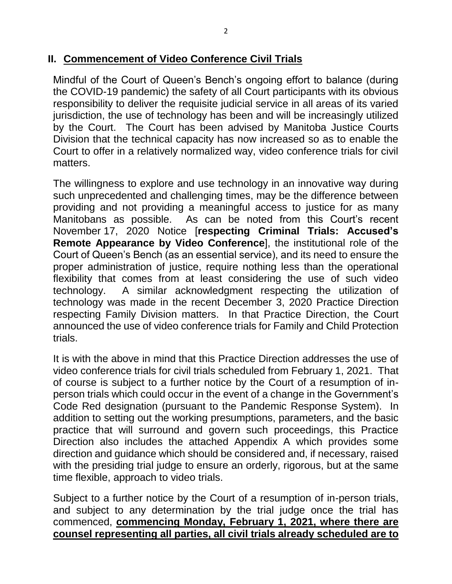Mindful of the Court of Queen's Bench's ongoing effort to balance (during the COVID-19 pandemic) the safety of all Court participants with its obvious responsibility to deliver the requisite judicial service in all areas of its varied jurisdiction, the use of technology has been and will be increasingly utilized by the Court. The Court has been advised by Manitoba Justice Courts Division that the technical capacity has now increased so as to enable the Court to offer in a relatively normalized way, video conference trials for civil matters.

The willingness to explore and use technology in an innovative way during such unprecedented and challenging times, may be the difference between providing and not providing a meaningful access to justice for as many Manitobans as possible. As can be noted from this Court's recent November 17, 2020 Notice [**respecting Criminal Trials: Accused's Remote Appearance by Video Conference**], the institutional role of the Court of Queen's Bench (as an essential service), and its need to ensure the proper administration of justice, require nothing less than the operational flexibility that comes from at least considering the use of such video technology. A similar acknowledgment respecting the utilization of technology was made in the recent December 3, 2020 Practice Direction respecting Family Division matters. In that Practice Direction, the Court announced the use of video conference trials for Family and Child Protection trials.

It is with the above in mind that this Practice Direction addresses the use of video conference trials for civil trials scheduled from February 1, 2021. That of course is subject to a further notice by the Court of a resumption of inperson trials which could occur in the event of a change in the Government's Code Red designation (pursuant to the Pandemic Response System). In addition to setting out the working presumptions, parameters, and the basic practice that will surround and govern such proceedings, this Practice Direction also includes the attached Appendix A which provides some direction and guidance which should be considered and, if necessary, raised with the presiding trial judge to ensure an orderly, rigorous, but at the same time flexible, approach to video trials.

Subject to a further notice by the Court of a resumption of in-person trials, and subject to any determination by the trial judge once the trial has commenced, **commencing Monday, February 1, 2021, where there are counsel representing all parties, all civil trials already scheduled are to**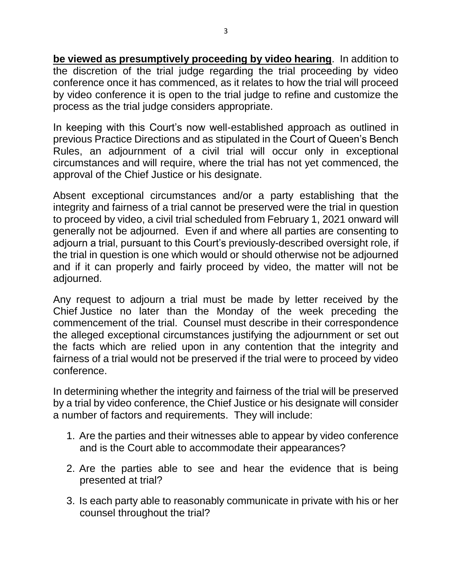**be viewed as presumptively proceeding by video hearing**. In addition to the discretion of the trial judge regarding the trial proceeding by video conference once it has commenced, as it relates to how the trial will proceed by video conference it is open to the trial judge to refine and customize the process as the trial judge considers appropriate.

In keeping with this Court's now well-established approach as outlined in previous Practice Directions and as stipulated in the Court of Queen's Bench Rules, an adjournment of a civil trial will occur only in exceptional circumstances and will require, where the trial has not yet commenced, the approval of the Chief Justice or his designate.

Absent exceptional circumstances and/or a party establishing that the integrity and fairness of a trial cannot be preserved were the trial in question to proceed by video, a civil trial scheduled from February 1, 2021 onward will generally not be adjourned. Even if and where all parties are consenting to adjourn a trial, pursuant to this Court's previously-described oversight role, if the trial in question is one which would or should otherwise not be adjourned and if it can properly and fairly proceed by video, the matter will not be adjourned.

Any request to adjourn a trial must be made by letter received by the Chief Justice no later than the Monday of the week preceding the commencement of the trial. Counsel must describe in their correspondence the alleged exceptional circumstances justifying the adjournment or set out the facts which are relied upon in any contention that the integrity and fairness of a trial would not be preserved if the trial were to proceed by video conference.

In determining whether the integrity and fairness of the trial will be preserved by a trial by video conference, the Chief Justice or his designate will consider a number of factors and requirements. They will include:

- 1. Are the parties and their witnesses able to appear by video conference and is the Court able to accommodate their appearances?
- 2. Are the parties able to see and hear the evidence that is being presented at trial?
- 3. Is each party able to reasonably communicate in private with his or her counsel throughout the trial?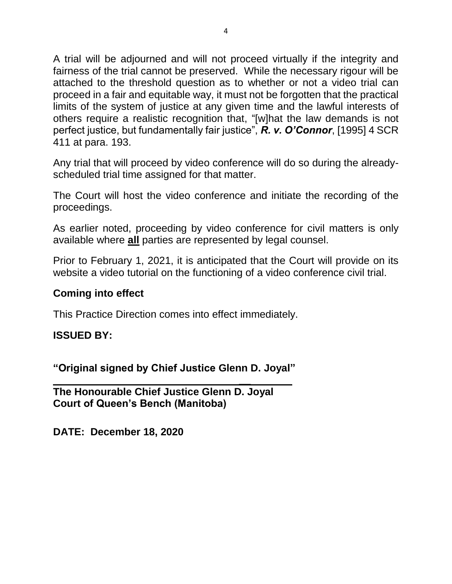A trial will be adjourned and will not proceed virtually if the integrity and fairness of the trial cannot be preserved. While the necessary rigour will be attached to the threshold question as to whether or not a video trial can proceed in a fair and equitable way, it must not be forgotten that the practical limits of the system of justice at any given time and the lawful interests of others require a realistic recognition that, "[w]hat the law demands is not perfect justice, but fundamentally fair justice", *R. v. O'Connor*, [1995] 4 SCR 411 at para. 193.

Any trial that will proceed by video conference will do so during the alreadyscheduled trial time assigned for that matter.

The Court will host the video conference and initiate the recording of the proceedings.

As earlier noted, proceeding by video conference for civil matters is only available where **all** parties are represented by legal counsel.

Prior to February 1, 2021, it is anticipated that the Court will provide on its website a video tutorial on the functioning of a video conference civil trial.

**\_\_**

#### **Coming into effect**

This Practice Direction comes into effect immediately.

### **ISSUED BY:**

**"Original signed by Chief Justice Glenn D. Joyal"**

**The Honourable Chief Justice Glenn D. Joyal Court of Queen's Bench (Manitoba)**

**DATE: December 18, 2020**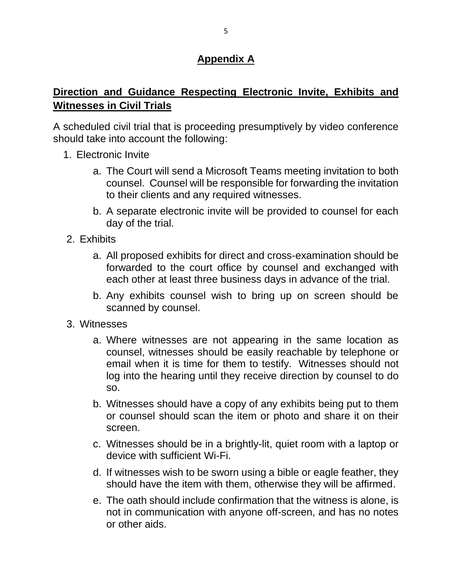## **Appendix A**

## **Direction and Guidance Respecting Electronic Invite, Exhibits and Witnesses in Civil Trials**

A scheduled civil trial that is proceeding presumptively by video conference should take into account the following:

- 1. Electronic Invite
	- a. The Court will send a Microsoft Teams meeting invitation to both counsel. Counsel will be responsible for forwarding the invitation to their clients and any required witnesses.
	- b. A separate electronic invite will be provided to counsel for each day of the trial.
- 2. Exhibits
	- a. All proposed exhibits for direct and cross-examination should be forwarded to the court office by counsel and exchanged with each other at least three business days in advance of the trial.
	- b. Any exhibits counsel wish to bring up on screen should be scanned by counsel.
- 3. Witnesses
	- a. Where witnesses are not appearing in the same location as counsel, witnesses should be easily reachable by telephone or email when it is time for them to testify. Witnesses should not log into the hearing until they receive direction by counsel to do so.
	- b. Witnesses should have a copy of any exhibits being put to them or counsel should scan the item or photo and share it on their screen.
	- c. Witnesses should be in a brightly-lit, quiet room with a laptop or device with sufficient Wi-Fi.
	- d. If witnesses wish to be sworn using a bible or eagle feather, they should have the item with them, otherwise they will be affirmed.
	- e. The oath should include confirmation that the witness is alone, is not in communication with anyone off-screen, and has no notes or other aids.